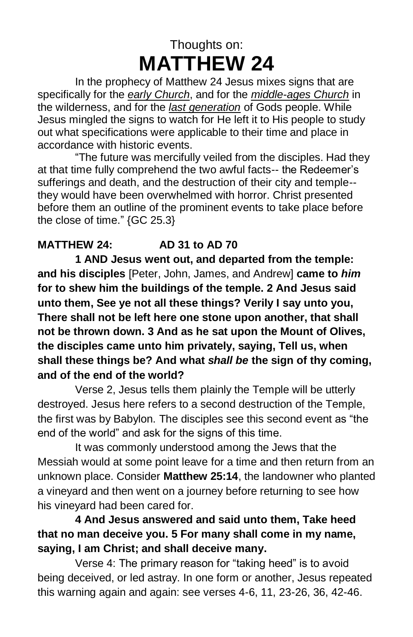# Thoughts on: **MATTHEW 24**

In the prophecy of Matthew 24 Jesus mixes signs that are specifically for the *early Church*, and for the *middle-ages Church* in the wilderness, and for the *last generation* of Gods people. While Jesus mingled the signs to watch for He left it to His people to study out what specifications were applicable to their time and place in accordance with historic events.

"The future was mercifully veiled from the disciples. Had they at that time fully comprehend the two awful facts-- the Redeemer's sufferings and death, and the destruction of their city and temple- they would have been overwhelmed with horror. Christ presented before them an outline of the prominent events to take place before the close of time." {GC 25.3}

## **MATTHEW 24: AD 31 to AD 70**

**1 AND Jesus went out, and departed from the temple: and his disciples** [Peter, John, James, and Andrew] **came to** *him*  **for to shew him the buildings of the temple. 2 And Jesus said unto them, See ye not all these things? Verily I say unto you, There shall not be left here one stone upon another, that shall not be thrown down. 3 And as he sat upon the Mount of Olives, the disciples came unto him privately, saying, Tell us, when shall these things be? And what** *shall be* **the sign of thy coming, and of the end of the world?**

Verse 2, Jesus tells them plainly the Temple will be utterly destroyed. Jesus here refers to a second destruction of the Temple, the first was by Babylon. The disciples see this second event as "the end of the world" and ask for the signs of this time.

It was commonly understood among the Jews that the Messiah would at some point leave for a time and then return from an unknown place. Consider **Matthew 25:14**, the landowner who planted a vineyard and then went on a journey before returning to see how his vineyard had been cared for.

## **4 And Jesus answered and said unto them, Take heed that no man deceive you. 5 For many shall come in my name, saying, I am Christ; and shall deceive many.**

Verse 4: The primary reason for "taking heed" is to avoid being deceived, or led astray. In one form or another, Jesus repeated this warning again and again: see verses 4-6, 11, 23-26, 36, 42-46.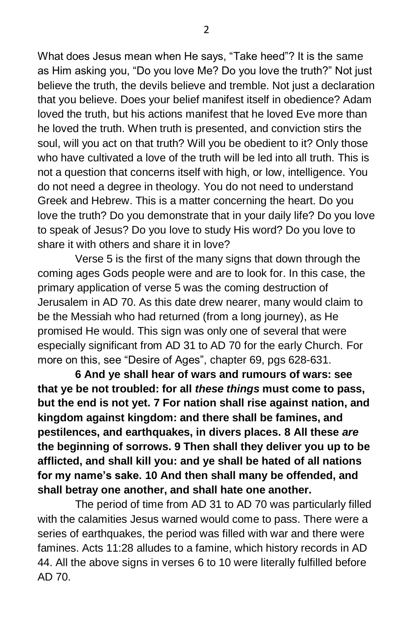What does Jesus mean when He says, "Take heed"? It is the same as Him asking you, "Do you love Me? Do you love the truth?" Not just believe the truth, the devils believe and tremble. Not just a declaration that you believe. Does your belief manifest itself in obedience? Adam loved the truth, but his actions manifest that he loved Eve more than he loved the truth. When truth is presented, and conviction stirs the soul, will you act on that truth? Will you be obedient to it? Only those who have cultivated a love of the truth will be led into all truth. This is not a question that concerns itself with high, or low, intelligence. You do not need a degree in theology. You do not need to understand Greek and Hebrew. This is a matter concerning the heart. Do you love the truth? Do you demonstrate that in your daily life? Do you love to speak of Jesus? Do you love to study His word? Do you love to share it with others and share it in love?

Verse 5 is the first of the many signs that down through the coming ages Gods people were and are to look for. In this case, the primary application of verse 5 was the coming destruction of Jerusalem in AD 70. As this date drew nearer, many would claim to be the Messiah who had returned (from a long journey), as He promised He would. This sign was only one of several that were especially significant from AD 31 to AD 70 for the early Church. For more on this, see "Desire of Ages", chapter 69, pgs 628-631.

**6 And ye shall hear of wars and rumours of wars: see that ye be not troubled: for all** *these things* **must come to pass, but the end is not yet. 7 For nation shall rise against nation, and kingdom against kingdom: and there shall be famines, and pestilences, and earthquakes, in divers places. 8 All these** *are*  **the beginning of sorrows. 9 Then shall they deliver you up to be afflicted, and shall kill you: and ye shall be hated of all nations for my name's sake. 10 And then shall many be offended, and shall betray one another, and shall hate one another.**

The period of time from AD 31 to AD 70 was particularly filled with the calamities Jesus warned would come to pass. There were a series of earthquakes, the period was filled with war and there were famines. Acts 11:28 alludes to a famine, which history records in AD 44. All the above signs in verses 6 to 10 were literally fulfilled before AD 70.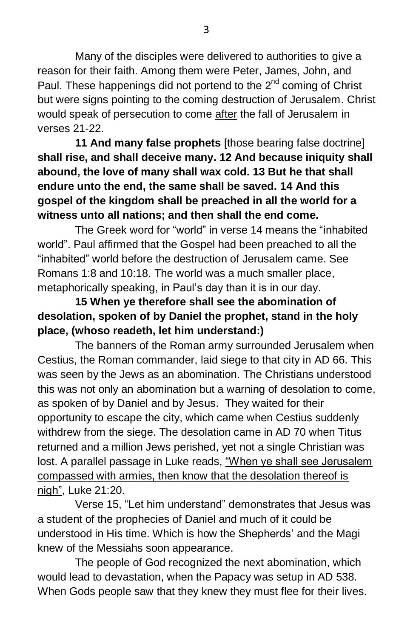Many of the disciples were delivered to authorities to give a reason for their faith. Among them were Peter, James, John, and Paul. These happenings did not portend to the 2<sup>nd</sup> coming of Christ but were signs pointing to the coming destruction of Jerusalem. Christ would speak of persecution to come after the fall of Jerusalem in verses 21-22.

**11 And many false prophets** [those bearing false doctrine] **shall rise, and shall deceive many. 12 And because iniquity shall abound, the love of many shall wax cold. 13 But he that shall endure unto the end, the same shall be saved. 14 And this gospel of the kingdom shall be preached in all the world for a witness unto all nations; and then shall the end come.**

The Greek word for "world" in verse 14 means the "inhabited world". Paul affirmed that the Gospel had been preached to all the "inhabited" world before the destruction of Jerusalem came. See Romans 1:8 and 10:18. The world was a much smaller place, metaphorically speaking, in Paul's day than it is in our day.

## **15 When ye therefore shall see the abomination of desolation, spoken of by Daniel the prophet, stand in the holy place, (whoso readeth, let him understand:)**

The banners of the Roman army surrounded Jerusalem when Cestius, the Roman commander, laid siege to that city in AD 66. This was seen by the Jews as an abomination. The Christians understood this was not only an abomination but a warning of desolation to come, as spoken of by Daniel and by Jesus. They waited for their opportunity to escape the city, which came when Cestius suddenly withdrew from the siege. The desolation came in AD 70 when Titus returned and a million Jews perished, yet not a single Christian was lost. A parallel passage in Luke reads, "When ye shall see Jerusalem compassed with armies, then know that the desolation thereof is nigh", Luke 21:20.

Verse 15, "Let him understand" demonstrates that Jesus was a student of the prophecies of Daniel and much of it could be understood in His time. Which is how the Shepherds' and the Magi knew of the Messiahs soon appearance.

The people of God recognized the next abomination, which would lead to devastation, when the Papacy was setup in AD 538. When Gods people saw that they knew they must flee for their lives.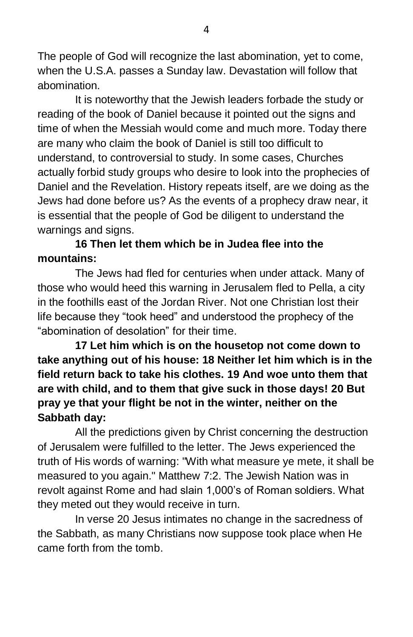The people of God will recognize the last abomination, yet to come, when the U.S.A. passes a Sunday law. Devastation will follow that abomination.

It is noteworthy that the Jewish leaders forbade the study or reading of the book of Daniel because it pointed out the signs and time of when the Messiah would come and much more. Today there are many who claim the book of Daniel is still too difficult to understand, to controversial to study. In some cases, Churches actually forbid study groups who desire to look into the prophecies of Daniel and the Revelation. History repeats itself, are we doing as the Jews had done before us? As the events of a prophecy draw near, it is essential that the people of God be diligent to understand the warnings and signs.

## **16 Then let them which be in Judea flee into the mountains:**

The Jews had fled for centuries when under attack. Many of those who would heed this warning in Jerusalem fled to Pella, a city in the foothills east of the Jordan River. Not one Christian lost their life because they "took heed" and understood the prophecy of the "abomination of desolation" for their time.

**17 Let him which is on the housetop not come down to take anything out of his house: 18 Neither let him which is in the field return back to take his clothes. 19 And woe unto them that are with child, and to them that give suck in those days! 20 But pray ye that your flight be not in the winter, neither on the Sabbath day:**

All the predictions given by Christ concerning the destruction of Jerusalem were fulfilled to the letter. The Jews experienced the truth of His words of warning: "With what measure ye mete, it shall be measured to you again." Matthew 7:2. The Jewish Nation was in revolt against Rome and had slain 1,000's of Roman soldiers. What they meted out they would receive in turn.

In verse 20 Jesus intimates no change in the sacredness of the Sabbath, as many Christians now suppose took place when He came forth from the tomb.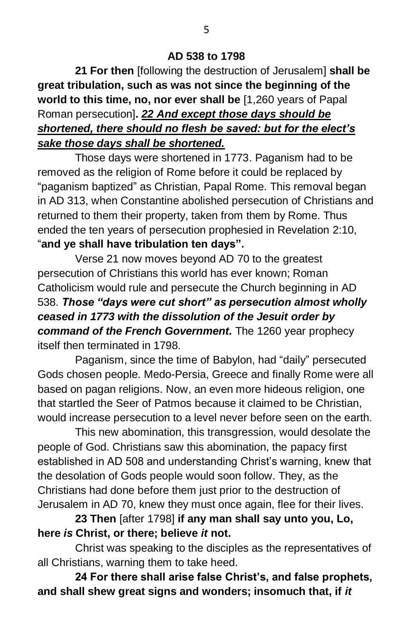## **AD 538 to 1798**

**21 For then** [following the destruction of Jerusalem] **shall be great tribulation, such as was not since the beginning of the world to this time, no, nor ever shall be** [1,260 years of Papal Roman persecution]**.** *22 And except those days should be shortened, there should no flesh be saved: but for the elect's sake those days shall be shortened.*

Those days were shortened in 1773. Paganism had to be removed as the religion of Rome before it could be replaced by "paganism baptized" as Christian, Papal Rome. This removal began in AD 313, when Constantine abolished persecution of Christians and returned to them their property, taken from them by Rome. Thus ended the ten years of persecution prophesied in Revelation 2:10, "**and ye shall have tribulation ten days".**

Verse 21 now moves beyond AD 70 to the greatest persecution of Christians this world has ever known; Roman Catholicism would rule and persecute the Church beginning in AD 538. *Those "days were cut short" as persecution almost wholly ceased in 1773 with the dissolution of the Jesuit order by command of the French Government.* The 1260 year prophecy itself then terminated in 1798.

Paganism, since the time of Babylon, had "daily" persecuted Gods chosen people. Medo-Persia, Greece and finally Rome were all based on pagan religions. Now, an even more hideous religion, one that startled the Seer of Patmos because it claimed to be Christian, would increase persecution to a level never before seen on the earth.

This new abomination, this transgression, would desolate the people of God. Christians saw this abomination, the papacy first established in AD 508 and understanding Christ's warning, knew that the desolation of Gods people would soon follow. They, as the Christians had done before them just prior to the destruction of Jerusalem in AD 70, knew they must once again, flee for their lives.

**23 Then** [after 1798] **if any man shall say unto you, Lo, here** *is* **Christ, or there; believe** *it* **not.**

Christ was speaking to the disciples as the representatives of all Christians, warning them to take heed.

**24 For there shall arise false Christ's, and false prophets, and shall shew great signs and wonders; insomuch that, if** *it*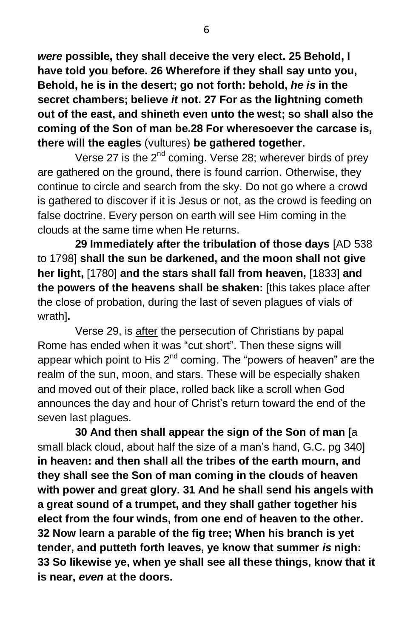*were* **possible, they shall deceive the very elect. 25 Behold, I have told you before. 26 Wherefore if they shall say unto you, Behold, he is in the desert; go not forth: behold,** *he is* **in the secret chambers; believe** *it* **not. 27 For as the lightning cometh out of the east, and shineth even unto the west; so shall also the coming of the Son of man be.28 For wheresoever the carcase is, there will the eagles** (vultures) **be gathered together.**

Verse 27 is the  $2^{nd}$  coming. Verse 28; wherever birds of prey are gathered on the ground, there is found carrion. Otherwise, they continue to circle and search from the sky. Do not go where a crowd is gathered to discover if it is Jesus or not, as the crowd is feeding on false doctrine. Every person on earth will see Him coming in the clouds at the same time when He returns.

**29 Immediately after the tribulation of those days** [AD 538 to 1798] **shall the sun be darkened, and the moon shall not give her light,** [1780] **and the stars shall fall from heaven,** [1833] **and the powers of the heavens shall be shaken:** [this takes place after the close of probation, during the last of seven plagues of vials of wrath]**.**

Verse 29, is after the persecution of Christians by papal Rome has ended when it was "cut short". Then these signs will appear which point to His  $2^{nd}$  coming. The "powers of heaven" are the realm of the sun, moon, and stars. These will be especially shaken and moved out of their place, rolled back like a scroll when God announces the day and hour of Christ's return toward the end of the seven last plagues.

**30 And then shall appear the sign of the Son of man** [a small black cloud, about half the size of a man's hand, G.C. pg 340] **in heaven: and then shall all the tribes of the earth mourn, and they shall see the Son of man coming in the clouds of heaven with power and great glory. 31 And he shall send his angels with a great sound of a trumpet, and they shall gather together his elect from the four winds, from one end of heaven to the other. 32 Now learn a parable of the fig tree; When his branch is yet tender, and putteth forth leaves, ye know that summer** *is* **nigh: 33 So likewise ye, when ye shall see all these things, know that it is near,** *even* **at the doors.**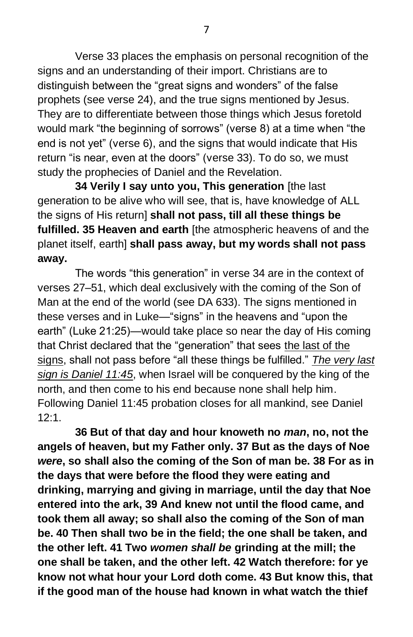Verse 33 places the emphasis on personal recognition of the signs and an understanding of their import. Christians are to distinguish between the "great signs and wonders" of the false prophets (see verse 24), and the true signs mentioned by Jesus. They are to differentiate between those things which Jesus foretold would mark "the beginning of sorrows" (verse 8) at a time when "the end is not yet" (verse 6), and the signs that would indicate that His return "is near, even at the doors" (verse 33). To do so, we must study the prophecies of Daniel and the Revelation.

**34 Verily I say unto you, This generation** [the last generation to be alive who will see, that is, have knowledge of ALL the signs of His return] **shall not pass, till all these things be fulfilled. 35 Heaven and earth** [the atmospheric heavens of and the planet itself, earth] **shall pass away, but my words shall not pass away.**

The words "this generation" in verse 34 are in the context of verses 27–51, which deal exclusively with the coming of the Son of Man at the end of the world (see DA 633). The signs mentioned in these verses and in Luke—"signs" in the heavens and "upon the earth" (Luke 21:25)—would take place so near the day of His coming that Christ declared that the "generation" that sees the last of the signs, shall not pass before "all these things be fulfilled." *The very last sign is Daniel 11:45*, when Israel will be conquered by the king of the north, and then come to his end because none shall help him. Following Daniel 11:45 probation closes for all mankind, see Daniel 12:1.

**36 But of that day and hour knoweth no** *man***, no, not the angels of heaven, but my Father only. 37 But as the days of Noe**  *were***, so shall also the coming of the Son of man be. 38 For as in the days that were before the flood they were eating and drinking, marrying and giving in marriage, until the day that Noe entered into the ark, 39 And knew not until the flood came, and took them all away; so shall also the coming of the Son of man be. 40 Then shall two be in the field; the one shall be taken, and the other left. 41 Two** *women shall be* **grinding at the mill; the one shall be taken, and the other left. 42 Watch therefore: for ye know not what hour your Lord doth come. 43 But know this, that if the good man of the house had known in what watch the thief**